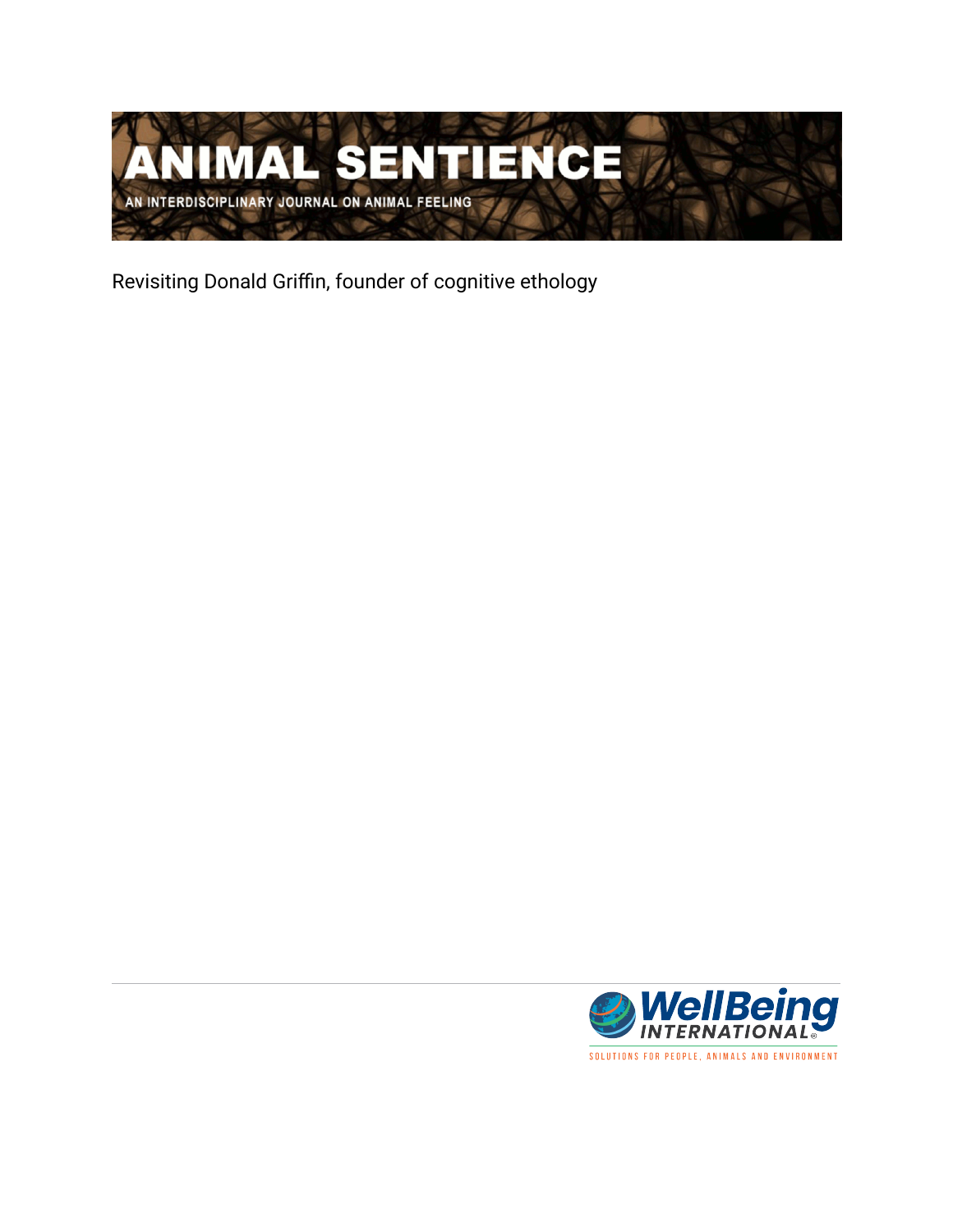

Revisiting Donald Griffin, founder of cognitive ethology

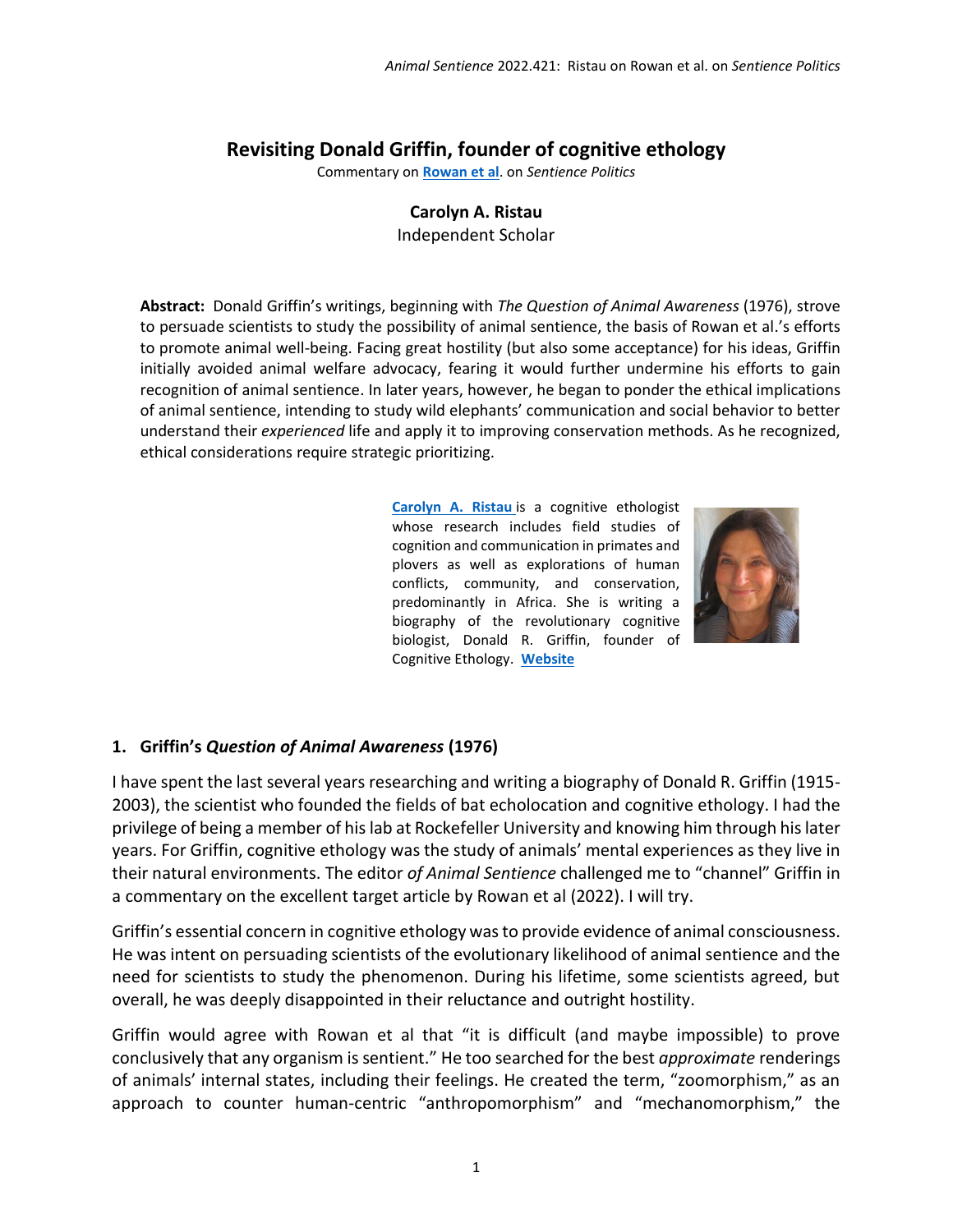## **Revisiting Donald Griffin, founder of cognitive ethology**

Commentary on **[Rowan et al](https://www.wellbeingintlstudiesrepository.org/animsent/vol6/iss31/1/)**. on *Sentience Politics*

#### **Carolyn A. Ristau**

Independent Scholar

**Abstract:** Donald Griffin's writings, beginning with *The Question of Animal Awareness* (1976), strove to persuade scientists to study the possibility of animal sentience, the basis of Rowan et al.'s efforts to promote animal well-being. Facing great hostility (but also some acceptance) for his ideas, Griffin initially avoided animal welfare advocacy, fearing it would further undermine his efforts to gain recognition of animal sentience. In later years, however, he began to ponder the ethical implications of animal sentience, intending to study wild elephants' communication and social behavior to better understand their *experienced* life and apply it to improving conservation methods. As he recognized, ethical considerations require strategic prioritizing.

> **[Carolyn A. Ristau](mailto:carolynaristau@aol.com)** is a cognitive ethologist whose research includes field studies of cognition and communication in primates and plovers as well as explorations of human conflicts, community, and conservation, predominantly in Africa. She is writing a biography of the revolutionary cognitive biologist, Donald R. Griffin, founder of Cognitive Ethology. **[Website](https://www.researchgate.net/profile/Carolyn-Ristau)**



#### **1. Griffin's** *Question of Animal Awareness* **(1976)**

I have spent the last several years researching and writing a biography of Donald R. Griffin (1915- 2003), the scientist who founded the fields of bat echolocation and cognitive ethology. I had the privilege of being a member of his lab at Rockefeller University and knowing him through his later years. For Griffin, cognitive ethology was the study of animals' mental experiences as they live in their natural environments. The editor *of Animal Sentience* challenged me to "channel" Griffin in a commentary on the excellent target article by Rowan et al (2022). I will try.

Griffin's essential concern in cognitive ethology was to provide evidence of animal consciousness. He was intent on persuading scientists of the evolutionary likelihood of animal sentience and the need for scientists to study the phenomenon. During his lifetime, some scientists agreed, but overall, he was deeply disappointed in their reluctance and outright hostility.

Griffin would agree with Rowan et al that "it is difficult (and maybe impossible) to prove conclusively that any organism is sentient." He too searched for the best *approximate* renderings of animals' internal states, including their feelings. He created the term, "zoomorphism," as an approach to counter human-centric "anthropomorphism" and "mechanomorphism," the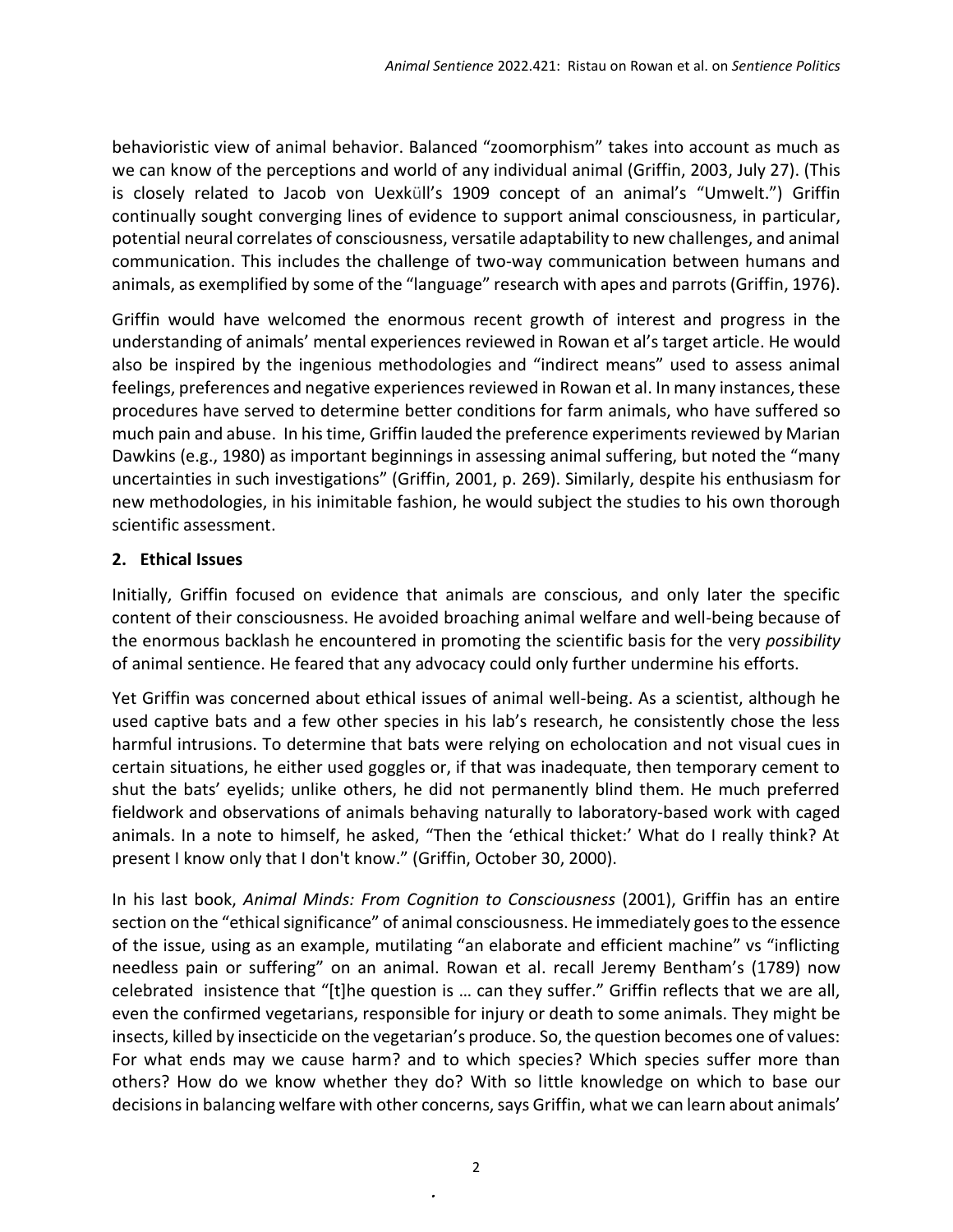behavioristic view of animal behavior. Balanced "zoomorphism" takes into account as much as we can know of the perceptions and world of any individual animal (Griffin, 2003, July 27). (This is closely related to Jacob von Uexküll's 1909 concept of an animal's "Umwelt.") Griffin continually sought converging lines of evidence to support animal consciousness, in particular, potential neural correlates of consciousness, versatile adaptability to new challenges, and animal communication. This includes the challenge of two-way communication between humans and animals, as exemplified by some of the "language" research with apes and parrots (Griffin, 1976).

Griffin would have welcomed the enormous recent growth of interest and progress in the understanding of animals' mental experiences reviewed in Rowan et al's target article. He would also be inspired by the ingenious methodologies and "indirect means" used to assess animal feelings, preferences and negative experiences reviewed in Rowan et al. In many instances, these procedures have served to determine better conditions for farm animals, who have suffered so much pain and abuse. In his time, Griffin lauded the preference experiments reviewed by Marian Dawkins (e.g., 1980) as important beginnings in assessing animal suffering, but noted the "many uncertainties in such investigations" (Griffin, 2001, p. 269). Similarly, despite his enthusiasm for new methodologies, in his inimitable fashion, he would subject the studies to his own thorough scientific assessment.

#### **2. Ethical Issues**

Initially, Griffin focused on evidence that animals are conscious, and only later the specific content of their consciousness. He avoided broaching animal welfare and well-being because of the enormous backlash he encountered in promoting the scientific basis for the very *possibility*  of animal sentience. He feared that any advocacy could only further undermine his efforts.

Yet Griffin was concerned about ethical issues of animal well-being. As a scientist, although he used captive bats and a few other species in his lab's research, he consistently chose the less harmful intrusions. To determine that bats were relying on echolocation and not visual cues in certain situations, he either used goggles or, if that was inadequate, then temporary cement to shut the bats' eyelids; unlike others, he did not permanently blind them. He much preferred fieldwork and observations of animals behaving naturally to laboratory-based work with caged animals. In a note to himself, he asked, "Then the 'ethical thicket:' What do I really think? At present I know only that I don't know." (Griffin, October 30, 2000).

In his last book, *Animal Minds: From Cognition to Consciousness* (2001), Griffin has an entire section on the "ethical significance" of animal consciousness. He immediately goes to the essence of the issue, using as an example, mutilating "an elaborate and efficient machine" vs "inflicting needless pain or suffering" on an animal. Rowan et al. recall Jeremy Bentham's (1789) now celebrated insistence that "[t]he question is … can they suffer." Griffin reflects that we are all, even the confirmed vegetarians, responsible for injury or death to some animals. They might be insects, killed by insecticide on the vegetarian's produce. So, the question becomes one of values: For what ends may we cause harm? and to which species? Which species suffer more than others? How do we know whether they do? With so little knowledge on which to base our decisions in balancing welfare with other concerns, says Griffin, what we can learn about animals'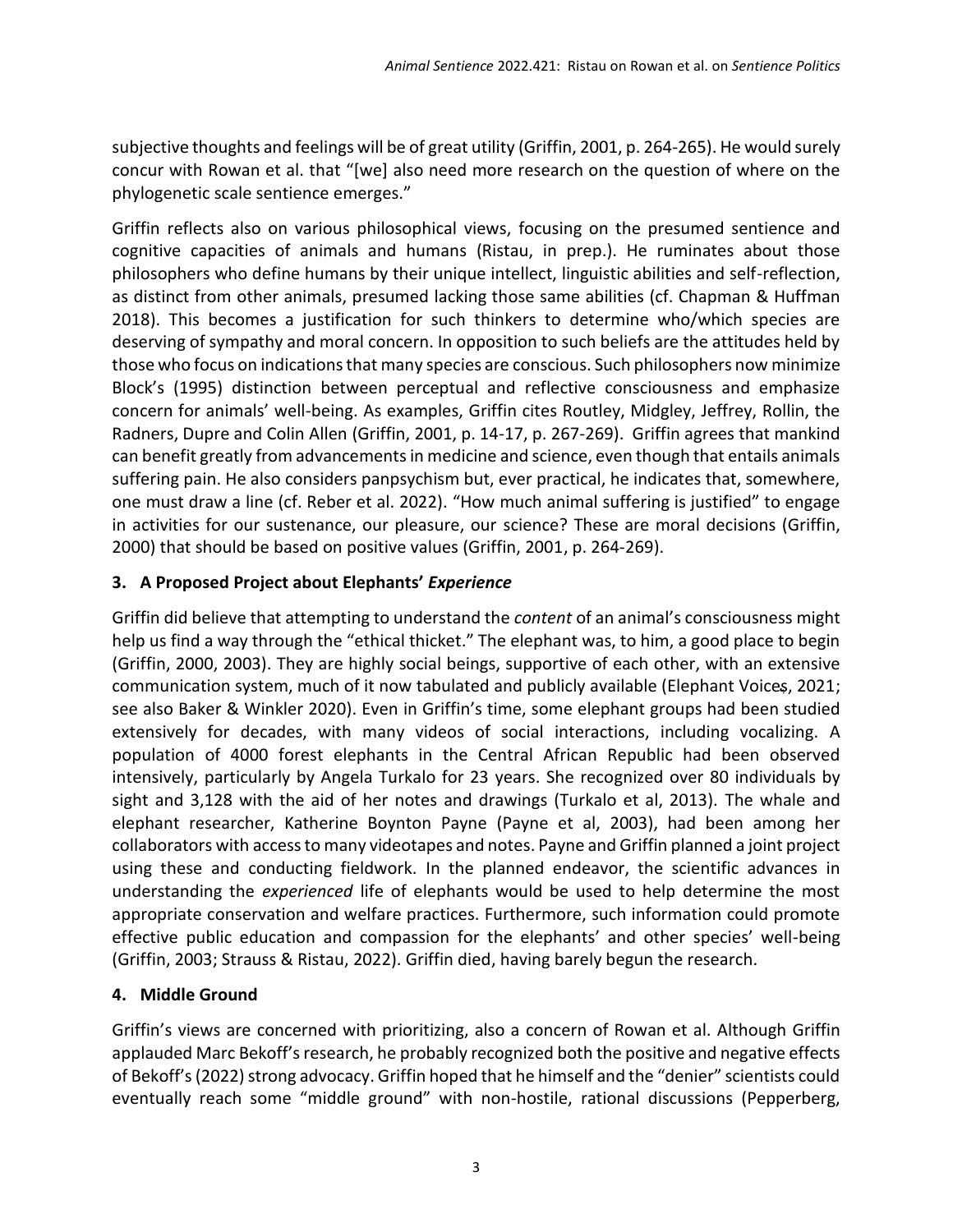subjective thoughts and feelings will be of great utility (Griffin, 2001, p. 264-265). He would surely concur with Rowan et al. that "[we] also need more research on the question of where on the phylogenetic scale sentience emerges."

Griffin reflects also on various philosophical views, focusing on the presumed sentience and cognitive capacities of animals and humans (Ristau, in prep.). He ruminates about those philosophers who define humans by their unique intellect, linguistic abilities and self-reflection, as distinct from other animals, presumed lacking those same abilities (cf. Chapman & Huffman 2018). This becomes a justification for such thinkers to determine who/which species are deserving of sympathy and moral concern. In opposition to such beliefs are the attitudes held by those who focus on indications that many species are conscious. Such philosophers now minimize Block's (1995) distinction between perceptual and reflective consciousness and emphasize concern for animals' well-being. As examples, Griffin cites Routley, Midgley, Jeffrey, Rollin, the Radners, Dupre and Colin Allen (Griffin, 2001, p. 14-17, p. 267-269). Griffin agrees that mankind can benefit greatly from advancements in medicine and science, even though that entails animals suffering pain. He also considers panpsychism but, ever practical, he indicates that, somewhere, one must draw a line (cf. Reber et al. 2022). "How much animal suffering is justified" to engage in activities for our sustenance, our pleasure, our science? These are moral decisions (Griffin, 2000) that should be based on positive values (Griffin, 2001, p. 264-269).

### **3. A Proposed Project about Elephants'** *Experience*

Griffin did believe that attempting to understand the *content* of an animal's consciousness might help us find a way through the "ethical thicket." The elephant was, to him, a good place to begin (Griffin, 2000, 2003). They are highly social beings, supportive of each other, with an extensive communication system, much of it now tabulated and publicly available (Elephant Voices, 2021; see also Baker & Winkler 2020). Even in Griffin's time, some elephant groups had been studied extensively for decades, with many videos of social interactions, including vocalizing. A population of 4000 forest elephants in the Central African Republic had been observed intensively, particularly by Angela Turkalo for 23 years. She recognized over 80 individuals by sight and 3,128 with the aid of her notes and drawings (Turkalo et al, 2013). The whale and elephant researcher, Katherine Boynton Payne (Payne et al, 2003), had been among her collaborators with access to many videotapes and notes. Payne and Griffin planned a joint project using these and conducting fieldwork. In the planned endeavor, the scientific advances in understanding the *experienced* life of elephants would be used to help determine the most appropriate conservation and welfare practices. Furthermore, such information could promote effective public education and compassion for the elephants' and other species' well-being (Griffin, 2003; Strauss & Ristau, 2022). Griffin died, having barely begun the research.

### **4. Middle Ground**

Griffin's views are concerned with prioritizing, also a concern of Rowan et al. Although Griffin applauded Marc Bekoff's research, he probably recognized both the positive and negative effects of Bekoff's (2022) strong advocacy. Griffin hoped that he himself and the "denier" scientists could eventually reach some "middle ground" with non-hostile, rational discussions (Pepperberg,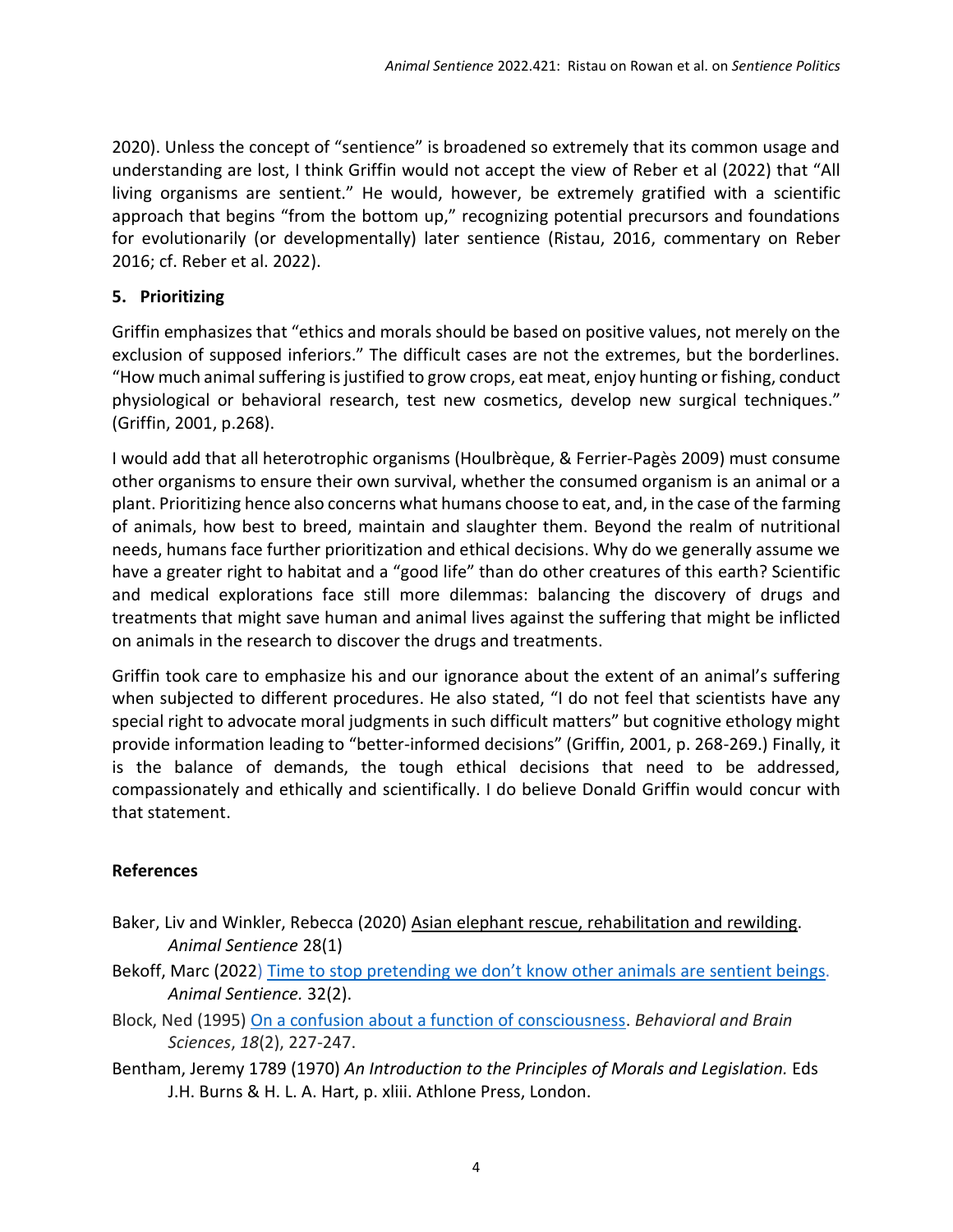2020). Unless the concept of "sentience" is broadened so extremely that its common usage and understanding are lost, I think Griffin would not accept the view of Reber et al (2022) that "All living organisms are sentient." He would, however, be extremely gratified with a scientific approach that begins "from the bottom up," recognizing potential precursors and foundations for evolutionarily (or developmentally) later sentience (Ristau, 2016, commentary on Reber 2016; cf. Reber et al. 2022).

### **5. Prioritizing**

Griffin emphasizes that "ethics and morals should be based on positive values, not merely on the exclusion of supposed inferiors." The difficult cases are not the extremes, but the borderlines. "How much animal suffering is justified to grow crops, eat meat, enjoy hunting or fishing, conduct physiological or behavioral research, test new cosmetics, develop new surgical techniques." (Griffin, 2001, p.268).

I would add that all heterotrophic organisms (Houlbrèque, & Ferrier‐Pagès 2009) must consume other organisms to ensure their own survival, whether the consumed organism is an animal or a plant. Prioritizing hence also concerns what humans choose to eat, and, in the case of the farming of animals, how best to breed, maintain and slaughter them. Beyond the realm of nutritional needs, humans face further prioritization and ethical decisions. Why do we generally assume we have a greater right to habitat and a "good life" than do other creatures of this earth? Scientific and medical explorations face still more dilemmas: balancing the discovery of drugs and treatments that might save human and animal lives against the suffering that might be inflicted on animals in the research to discover the drugs and treatments.

Griffin took care to emphasize his and our ignorance about the extent of an animal's suffering when subjected to different procedures. He also stated, "I do not feel that scientists have any special right to advocate moral judgments in such difficult matters" but cognitive ethology might provide information leading to "better-informed decisions" (Griffin, 2001, p. 268-269.) Finally, it is the balance of demands, the tough ethical decisions that need to be addressed, compassionately and ethically and scientifically. I do believe Donald Griffin would concur with that statement.

# **References**

- Baker, Liv and Winkler, Rebecca (2020) Asian elephant rescue, [rehabilitation](https://www.wellbeingintlstudiesrepository.org/cgi/viewcontent.cgi?article=1506&context=animsent) and rewilding. *Animal Sentience* 28(1)
- Bekoff, Marc (2022) Time to stop [pretending](https://www.wellbeingintlstudiesrepository.org/animsent/vol6/iss31/2/) we don't know other animals are sentient beings. *Animal Sentience.* 32(2).
- Block, Ned (1995) [On a confusion about a function of consciousness.](https://web-archive.southampton.ac.uk/cogprints.org/231/1/199712004.html) *Behavioral and Brain Sciences*, *18*(2), 227-247.
- Bentham, Jeremy 1789 (1970) An Introduction to the Principles of Morals and Legislation. Eds J.H. Burns & H. L. A. Hart, p. xliii. Athlone Press, London.